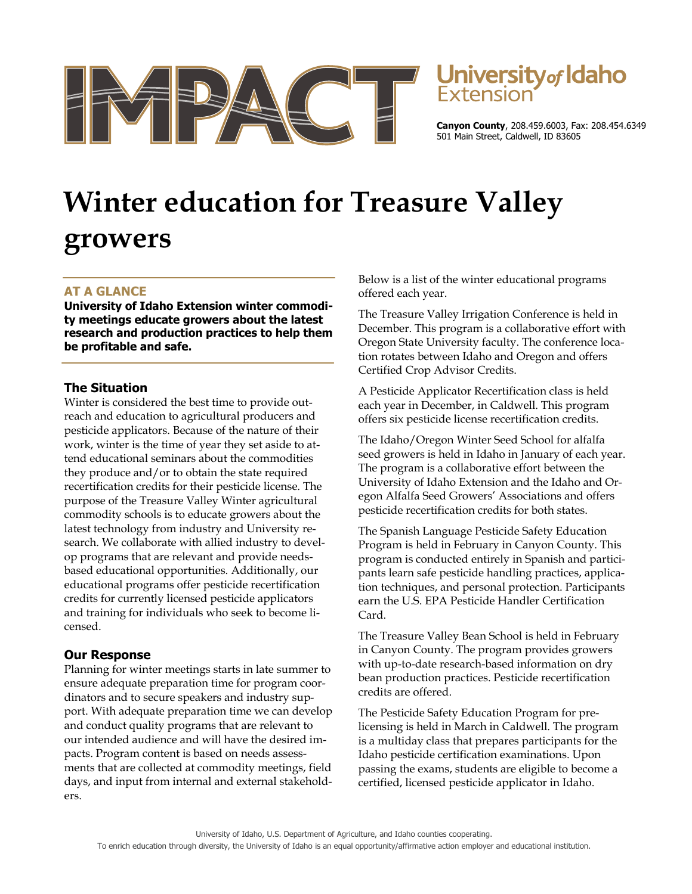

# Jniversity<sub>of</sub> Idaho

**Canyon County**, 208.459.6003, Fax: 208.454.6349 501 Main Street, Caldwell, ID 83605

# **Winter education for Treasure Valley growers**

# **AT A GLANCE**

**University of Idaho Extension winter commodity meetings educate growers about the latest research and production practices to help them be profitable and safe.** 

### **The Situation**

Winter is considered the best time to provide outreach and education to agricultural producers and pesticide applicators. Because of the nature of their work, winter is the time of year they set aside to attend educational seminars about the commodities they produce and/or to obtain the state required recertification credits for their pesticide license. The purpose of the Treasure Valley Winter agricultural commodity schools is to educate growers about the latest technology from industry and University research. We collaborate with allied industry to develop programs that are relevant and provide needsbased educational opportunities. Additionally, our educational programs offer pesticide recertification credits for currently licensed pesticide applicators and training for individuals who seek to become licensed.

# **Our Response**

Planning for winter meetings starts in late summer to ensure adequate preparation time for program coordinators and to secure speakers and industry support. With adequate preparation time we can develop and conduct quality programs that are relevant to our intended audience and will have the desired impacts. Program content is based on needs assessments that are collected at commodity meetings, field days, and input from internal and external stakeholders.

Below is a list of the winter educational programs offered each year.

The Treasure Valley Irrigation Conference is held in December. This program is a collaborative effort with Oregon State University faculty. The conference location rotates between Idaho and Oregon and offers Certified Crop Advisor Credits.

A Pesticide Applicator Recertification class is held each year in December, in Caldwell. This program offers six pesticide license recertification credits.

The Idaho/Oregon Winter Seed School for alfalfa seed growers is held in Idaho in January of each year. The program is a collaborative effort between the University of Idaho Extension and the Idaho and Oregon Alfalfa Seed Growers' Associations and offers pesticide recertification credits for both states.

The Spanish Language Pesticide Safety Education Program is held in February in Canyon County. This program is conducted entirely in Spanish and participants learn safe pesticide handling practices, application techniques, and personal protection. Participants earn the U.S. EPA Pesticide Handler Certification Card.

The Treasure Valley Bean School is held in February in Canyon County. The program provides growers with up-to-date research-based information on dry bean production practices. Pesticide recertification credits are offered.

The Pesticide Safety Education Program for prelicensing is held in March in Caldwell. The program is a multiday class that prepares participants for the Idaho pesticide certification examinations. Upon passing the exams, students are eligible to become a certified, licensed pesticide applicator in Idaho.